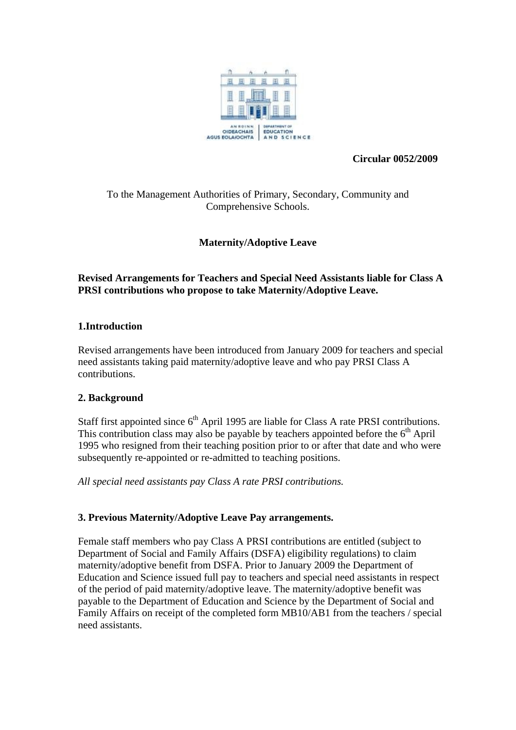

**Circular 0052/2009** 

## To the Management Authorities of Primary, Secondary, Community and Comprehensive Schools.

# **Maternity/Adoptive Leave**

## **Revised Arrangements for Teachers and Special Need Assistants liable for Class A PRSI contributions who propose to take Maternity/Adoptive Leave.**

## **1.Introduction**

Revised arrangements have been introduced from January 2009 for teachers and special need assistants taking paid maternity/adoptive leave and who pay PRSI Class A contributions.

## **2. Background**

Staff first appointed since  $6<sup>th</sup>$  April 1995 are liable for Class A rate PRSI contributions. This contribution class may also be payable by teachers appointed before the  $6<sup>th</sup>$  April 1995 who resigned from their teaching position prior to or after that date and who were subsequently re-appointed or re-admitted to teaching positions.

*All special need assistants pay Class A rate PRSI contributions.*

## **3. Previous Maternity/Adoptive Leave Pay arrangements.**

Female staff members who pay Class A PRSI contributions are entitled (subject to Department of Social and Family Affairs (DSFA) eligibility regulations) to claim maternity/adoptive benefit from DSFA. Prior to January 2009 the Department of Education and Science issued full pay to teachers and special need assistants in respect of the period of paid maternity/adoptive leave. The maternity/adoptive benefit was payable to the Department of Education and Science by the Department of Social and Family Affairs on receipt of the completed form MB10/AB1 from the teachers / special need assistants.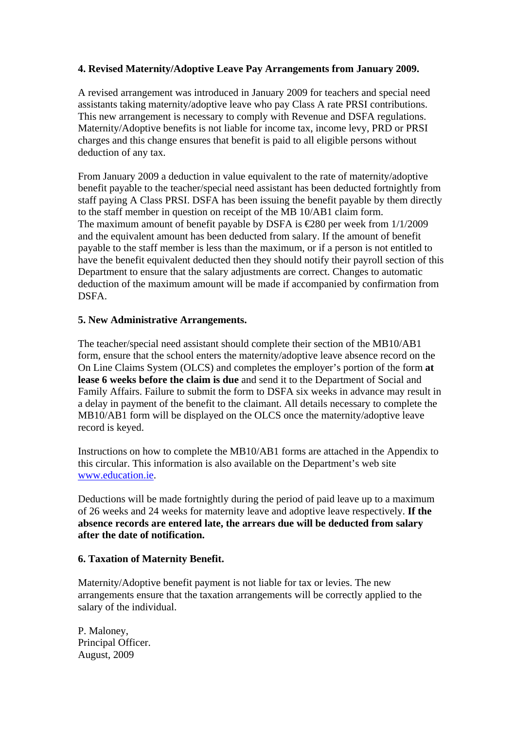### **4. Revised Maternity/Adoptive Leave Pay Arrangements from January 2009.**

A revised arrangement was introduced in January 2009 for teachers and special need assistants taking maternity/adoptive leave who pay Class A rate PRSI contributions. This new arrangement is necessary to comply with Revenue and DSFA regulations. Maternity/Adoptive benefits is not liable for income tax, income levy, PRD or PRSI charges and this change ensures that benefit is paid to all eligible persons without deduction of any tax.

From January 2009 a deduction in value equivalent to the rate of maternity/adoptive benefit payable to the teacher/special need assistant has been deducted fortnightly from staff paying A Class PRSI. DSFA has been issuing the benefit payable by them directly to the staff member in question on receipt of the MB 10/AB1 claim form. The maximum amount of benefit payable by DSFA is  $\text{\textsterling}280$  per week from 1/1/2009 and the equivalent amount has been deducted from salary. If the amount of benefit payable to the staff member is less than the maximum, or if a person is not entitled to have the benefit equivalent deducted then they should notify their payroll section of this Department to ensure that the salary adjustments are correct. Changes to automatic deduction of the maximum amount will be made if accompanied by confirmation from DSFA.

### **5. New Administrative Arrangements.**

The teacher/special need assistant should complete their section of the MB10/AB1 form, ensure that the school enters the maternity/adoptive leave absence record on the On Line Claims System (OLCS) and completes the employer's portion of the form **at lease 6 weeks before the claim is due** and send it to the Department of Social and Family Affairs. Failure to submit the form to DSFA six weeks in advance may result in a delay in payment of the benefit to the claimant. All details necessary to complete the MB10/AB1 form will be displayed on the OLCS once the maternity/adoptive leave record is keyed.

Instructions on how to complete the MB10/AB1 forms are attached in the Appendix to this circular. This information is also available on the Department's web site [www.education.ie](http://www.education.ie/).

Deductions will be made fortnightly during the period of paid leave up to a maximum of 26 weeks and 24 weeks for maternity leave and adoptive leave respectively. **If the absence records are entered late, the arrears due will be deducted from salary after the date of notification.** 

### **6. Taxation of Maternity Benefit.**

Maternity/Adoptive benefit payment is not liable for tax or levies. The new arrangements ensure that the taxation arrangements will be correctly applied to the salary of the individual.

P. Maloney, Principal Officer. August, 2009